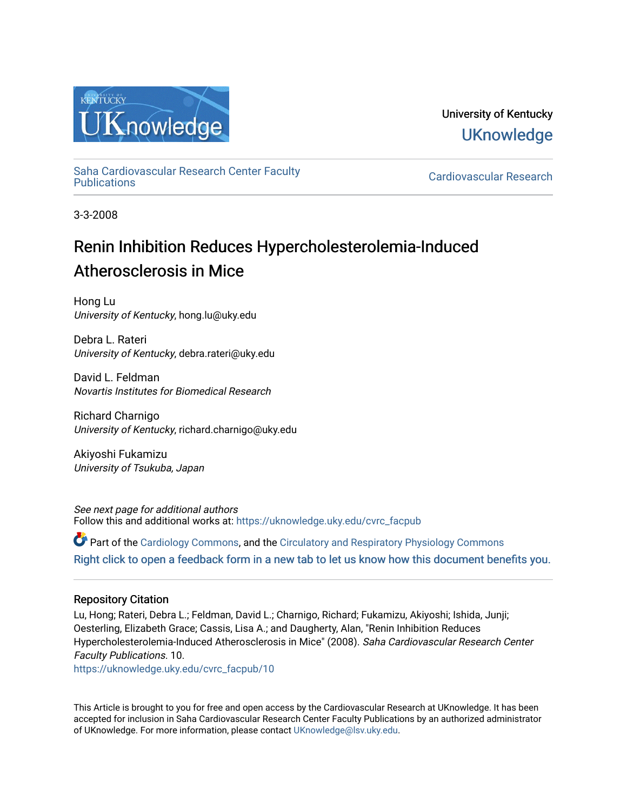

University of Kentucky **UKnowledge** 

[Saha Cardiovascular Research Center Faculty](https://uknowledge.uky.edu/cvrc_facpub)

Cardiovascular Research

3-3-2008

## Renin Inhibition Reduces Hypercholesterolemia-Induced Atherosclerosis in Mice

Hong Lu University of Kentucky, hong.lu@uky.edu

Debra L. Rateri University of Kentucky, debra.rateri@uky.edu

David L. Feldman Novartis Institutes for Biomedical Research

Richard Charnigo University of Kentucky, richard.charnigo@uky.edu

Akiyoshi Fukamizu University of Tsukuba, Japan

See next page for additional authors Follow this and additional works at: [https://uknowledge.uky.edu/cvrc\\_facpub](https://uknowledge.uky.edu/cvrc_facpub?utm_source=uknowledge.uky.edu%2Fcvrc_facpub%2F10&utm_medium=PDF&utm_campaign=PDFCoverPages)

 $\bullet$  Part of the [Cardiology Commons](http://network.bepress.com/hgg/discipline/683?utm_source=uknowledge.uky.edu%2Fcvrc_facpub%2F10&utm_medium=PDF&utm_campaign=PDFCoverPages), and the Circulatory and Respiratory Physiology Commons [Right click to open a feedback form in a new tab to let us know how this document benefits you.](https://uky.az1.qualtrics.com/jfe/form/SV_9mq8fx2GnONRfz7)

## Repository Citation

Lu, Hong; Rateri, Debra L.; Feldman, David L.; Charnigo, Richard; Fukamizu, Akiyoshi; Ishida, Junji; Oesterling, Elizabeth Grace; Cassis, Lisa A.; and Daugherty, Alan, "Renin Inhibition Reduces Hypercholesterolemia-Induced Atherosclerosis in Mice" (2008). Saha Cardiovascular Research Center Faculty Publications. 10.

[https://uknowledge.uky.edu/cvrc\\_facpub/10](https://uknowledge.uky.edu/cvrc_facpub/10?utm_source=uknowledge.uky.edu%2Fcvrc_facpub%2F10&utm_medium=PDF&utm_campaign=PDFCoverPages) 

This Article is brought to you for free and open access by the Cardiovascular Research at UKnowledge. It has been accepted for inclusion in Saha Cardiovascular Research Center Faculty Publications by an authorized administrator of UKnowledge. For more information, please contact [UKnowledge@lsv.uky.edu.](mailto:UKnowledge@lsv.uky.edu)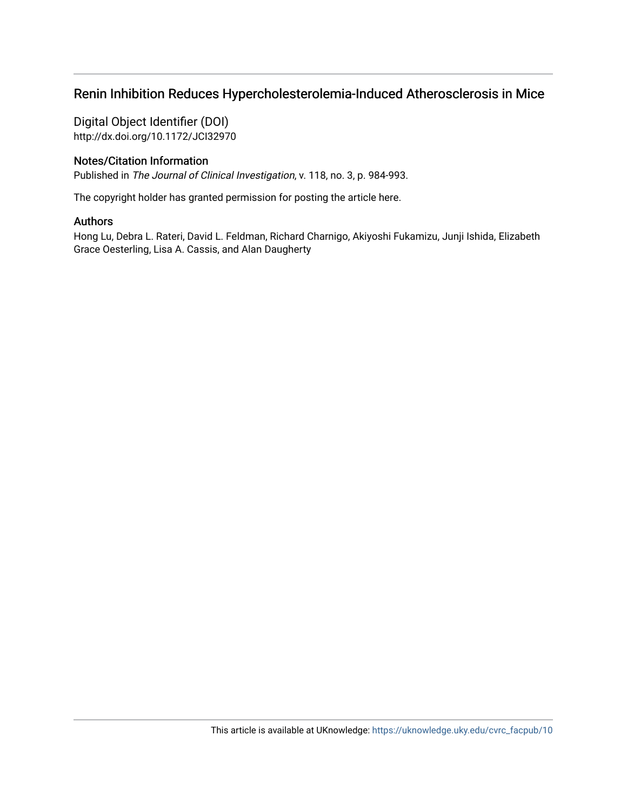## Renin Inhibition Reduces Hypercholesterolemia-Induced Atherosclerosis in Mice

Digital Object Identifier (DOI) http://dx.doi.org/10.1172/JCI32970

## Notes/Citation Information

Published in The Journal of Clinical Investigation, v. 118, no. 3, p. 984-993.

The copyright holder has granted permission for posting the article here.

### Authors

Hong Lu, Debra L. Rateri, David L. Feldman, Richard Charnigo, Akiyoshi Fukamizu, Junji Ishida, Elizabeth Grace Oesterling, Lisa A. Cassis, and Alan Daugherty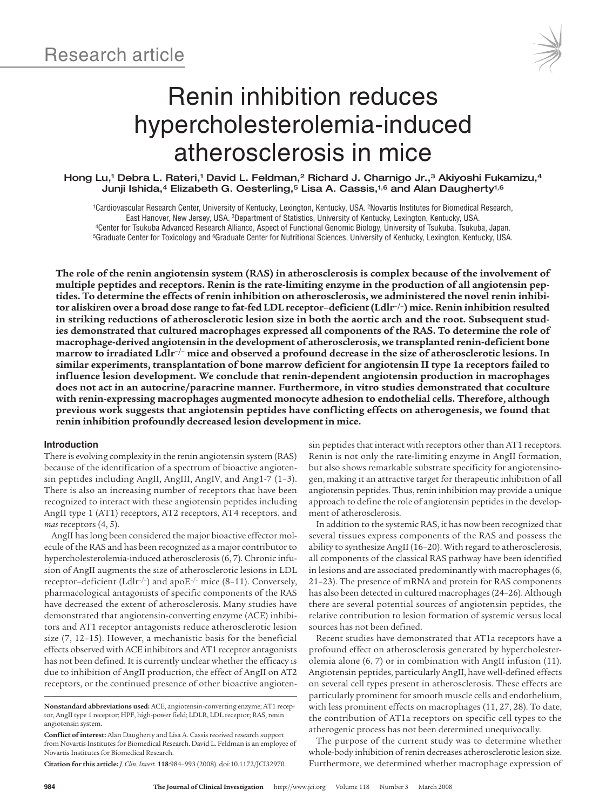# Renin inhibition reduces hypercholesterolemia-induced atherosclerosis in mice

Hong Lu,<sup>1</sup> Debra L. Rateri,<sup>1</sup> David L. Feldman,<sup>2</sup> Richard J. Charnigo Jr.,<sup>3</sup> Akiyoshi Fukamizu,<sup>4</sup> Junji Ishida,<sup>4</sup> Elizabeth G. Oesterling,<sup>5</sup> Lisa A. Cassis,<sup>1,6</sup> and Alan Daugherty<sup>1,6</sup>

1Cardiovascular Research Center, University of Kentucky, Lexington, Kentucky, USA. 2Novartis Institutes for Biomedical Research, East Hanover, New Jersey, USA. <sup>3</sup>Department of Statistics, University of Kentucky, Lexington, Kentucky, USA.<br>Center for Tsukuba Advanced Research Alliance, Aspect of Functional Genomic Biology, University of Tsukuba, Tsuk 5Graduate Center for Toxicology and 6Graduate Center for Nutritional Sciences, University of Kentucky, Lexington, Kentucky, USA.

The role of the renin angiotensin system (RAS) in atherosclerosis is complex because of the involvement of **multiple peptides and receptors. Renin is the rate-limiting enzyme in the production of all angiotensin peptides. To determine the effects of renin inhibition on atherosclerosis, we administered the novel renin inhibitor aliskiren over a broad dose range to fat-fed LDL receptor–deficient(Ldlr–/–) mice.Renin inhibition resulted** in striking reductions of atherosclerotic lesion size in both the aortic arch and the root. Subsequent stud**ies demonstrated that cultured macrophages expressed all components of the RAS. To determine the role of macrophage-derived angiotensin in the development of atherosclerosis, we transplanted renin-deficient bone** marrow to irradiated Ldlr<sup>-/-</sup> mice and observed a profound decrease in the size of atherosclerotic lesions. In **similar experiments, transplantation of bone marrow deficient for angiotensin II type 1a receptors failed to influence lesion development. We conclude that renin-dependent angiotensin production in macrophages does not act in an autocrine/paracrine manner. Furthermore, in vitro studies demonstrated that coculture with renin-expressing macrophages augmented monocyte adhesion to endothelial cells. Therefore, although previous work suggests that angiotensin peptides have conflicting effects on atherogenesis, we found that renin inhibition profoundly decreased lesion development in mice.**

#### **Introduction**

There is evolving complexity in the renin angiotensin system (RAS) because of the identification of a spectrum of bioactive angiotensin peptides including AngII, AngIII, AngIV, and Ang1-7 (1–3). There is also an increasing number of receptors that have been recognized to interact with these angiotensin peptides including AngII type 1 (AT1) receptors, AT2 receptors, AT4 receptors, and *mas* receptors (4, 5).

AngII has long been considered the major bioactive effector molecule of the RAS and has been recognized as a major contributor to hypercholesterolemia-induced atherosclerosis (6, 7). Chronic infusion of AngII augments the size of atherosclerotic lesions in LDL receptor-deficient (Ldlr<sup>-/-</sup>) and apoE<sup>-/-</sup> mice (8-11). Conversely, pharmacological antagonists of specific components of the RAS have decreased the extent of atherosclerosis. Many studies have demonstrated that angiotensin-converting enzyme (ACE) inhibitors and AT1 receptor antagonists reduce atherosclerotic lesion size (7, 12–15). However, a mechanistic basis for the beneficial effects observed with ACE inhibitors and AT1 receptor antagonists has not been defined. It is currently unclear whether the efficacy is due to inhibition of AngII production, the effect of AngII on AT2 receptors, or the continued presence of other bioactive angioten-

**Conflict of interest:** Alan Daugherty and Lisa A. Cassis received research support from Novartis Institutes for Biomedical Research. David L. Feldman is an employee of Novartis Institutes for Biomedical Research.

**Citation for this article:** *J. Clin. Invest.* **118**:984–993 (2008). doi:10.1172/JCI32970.

sin peptides that interact with receptors other than AT1 receptors. Renin is not only the rate-limiting enzyme in AngII formation, but also shows remarkable substrate specificity for angiotensinogen, making it an attractive target for therapeutic inhibition of all angiotensin peptides. Thus, renin inhibition may provide a unique approach to define the role of angiotensin peptides in the development of atherosclerosis.

In addition to the systemic RAS, it has now been recognized that several tissues express components of the RAS and possess the ability to synthesize AngII (16–20). With regard to atherosclerosis, all components of the classical RAS pathway have been identified in lesions and are associated predominantly with macrophages (6, 21–23). The presence of mRNA and protein for RAS components has also been detected in cultured macrophages (24–26). Although there are several potential sources of angiotensin peptides, the relative contribution to lesion formation of systemic versus local sources has not been defined.

Recent studies have demonstrated that AT1a receptors have a profound effect on atherosclerosis generated by hypercholesterolemia alone (6, 7) or in combination with AngII infusion (11). Angiotensin peptides, particularly AngII, have well-defined effects on several cell types present in atherosclerosis. These effects are particularly prominent for smooth muscle cells and endothelium, with less prominent effects on macrophages (11, 27, 28). To date, the contribution of AT1a receptors on specific cell types to the atherogenic process has not been determined unequivocally.

The purpose of the current study was to determine whether whole-body inhibition of renin decreases atherosclerotic lesion size. Furthermore, we determined whether macrophage expression of

**Nonstandard abbreviations used:** ACE, angiotensin-converting enzyme; AT1 receptor, AngII type 1 receptor; HPF, high-power field; LDLR, LDL receptor; RAS, renin angiotensin system.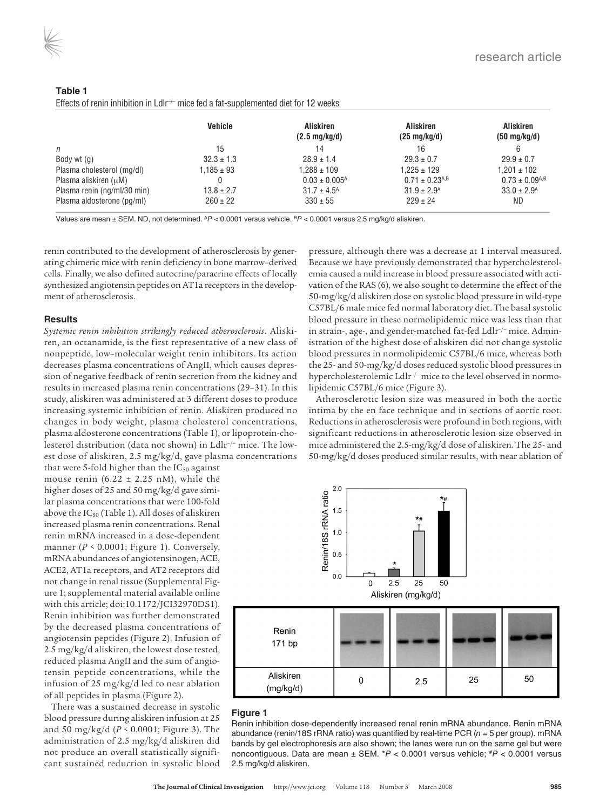| ۰.<br>×<br>a sa<br>٧ |  |  |  |  |
|----------------------|--|--|--|--|
|----------------------|--|--|--|--|

Effects of renin inhibition in LdIr<sup>-/-</sup> mice fed a fat-supplemented diet for 12 weeks

|                             | <b>Vehicle</b> | <b>Aliskiren</b><br>$(2.5 \,\mathrm{mg/kg/d})$ | <b>Aliskiren</b><br>$(25 \text{ mg/kg/d})$ | <b>Aliskiren</b><br>$(50 \text{ mg/kg/d})$ |
|-----------------------------|----------------|------------------------------------------------|--------------------------------------------|--------------------------------------------|
| $\mathsf{n}$                | 15             | 14                                             | 16                                         | 6                                          |
| Body wt (g)                 | $32.3 \pm 1.3$ | $28.9 \pm 1.4$                                 | $29.3 \pm 0.7$                             | $29.9 \pm 0.7$                             |
| Plasma cholesterol (mg/dl)  | $1,185 \pm 93$ | $1.288 \pm 109$                                | $1.225 \pm 129$                            | $1.201 \pm 102$                            |
| Plasma aliskiren (uM)       |                | $0.03 \pm 0.005$ <sup>A</sup>                  | $0.71 \pm 0.23$ <sup>A,B</sup>             | $0.73 \pm 0.09$ <sup>A,B</sup>             |
| Plasma renin (ng/ml/30 min) | $13.8 \pm 2.7$ | $31.7 \pm 4.5^{\text{A}}$                      | $31.9 \pm 2.9$ <sup>A</sup>                | $33.0 \pm 2.9$ <sup>A</sup>                |
| Plasma aldosterone (pg/ml)  | $260 \pm 22$   | $330 \pm 55$                                   | $229 \pm 24$                               | ND                                         |

Values are mean ± SEM. ND, not determined. AP < 0.0001 versus vehicle. BP < 0.0001 versus 2.5 mg/kg/d aliskiren.

renin contributed to the development of atherosclerosis by generating chimeric mice with renin deficiency in bone marrow–derived cells. Finally, we also defined autocrine/paracrine effects of locally synthesized angiotensin peptides on AT1a receptors in the development of atherosclerosis.

#### **Results**

*Systemic renin inhibition strikingly reduced atherosclerosis*. Aliskiren, an octanamide, is the first representative of a new class of nonpeptide, low–molecular weight renin inhibitors. Its action decreases plasma concentrations of AngII, which causes depression of negative feedback of renin secretion from the kidney and results in increased plasma renin concentrations (29–31). In this study, aliskiren was administered at 3 different doses to produce increasing systemic inhibition of renin. Aliskiren produced no changes in body weight, plasma cholesterol concentrations, plasma aldosterone concentrations (Table 1), or lipoprotein-cholesterol distribution (data not shown) in Ldlr–/– mice. The lowest dose of aliskiren, 2.5 mg/kg/d, gave plasma concentrations

that were 5-fold higher than the  $IC_{50}$  against mouse renin (6.22  $\pm$  2.25 nM), while the higher doses of 25 and 50 mg/kg/d gave similar plasma concentrations that were 100-fold above the  $IC_{50}$  (Table 1). All doses of aliskiren increased plasma renin concentrations. Renal renin mRNA increased in a dose-dependent manner (*P <* 0.0001; Figure 1). Conversely, mRNA abundances of angiotensinogen, ACE, ACE2, AT1a receptors, and AT2 receptors did not change in renal tissue (Supplemental Figure 1; supplemental material available online with this article; doi:10.1172/JCI32970DS1). Renin inhibition was further demonstrated by the decreased plasma concentrations of angiotensin peptides (Figure 2). Infusion of 2.5 mg/kg/d aliskiren, the lowest dose tested, reduced plasma AngII and the sum of angiotensin peptide concentrations, while the infusion of 25 mg/kg/d led to near ablation of all peptides in plasma (Figure 2).

There was a sustained decrease in systolic blood pressure during aliskiren infusion at 25 and 50 mg/kg/d (*P <* 0.0001; Figure 3). The administration of 2.5 mg/kg/d aliskiren did not produce an overall statistically significant sustained reduction in systolic blood

pressure, although there was a decrease at 1 interval measured. Because we have previously demonstrated that hypercholesterolemia caused a mild increase in blood pressure associated with activation of the RAS (6), we also sought to determine the effect of the 50-mg/kg/d aliskiren dose on systolic blood pressure in wild-type C57BL/6 male mice fed normal laboratory diet. The basal systolic blood pressure in these normolipidemic mice was less than that in strain-, age-, and gender-matched fat-fed Ldlr–/– mice. Administration of the highest dose of aliskiren did not change systolic blood pressures in normolipidemic C57BL/6 mice, whereas both the 25- and 50-mg/kg/d doses reduced systolic blood pressures in hypercholesterolemic Ldlr<sup>-/-</sup> mice to the level observed in normolipidemic C57BL/6 mice (Figure 3).

Atherosclerotic lesion size was measured in both the aortic intima by the en face technique and in sections of aortic root. Reductions in atherosclerosis were profound in both regions, with significant reductions in atherosclerotic lesion size observed in mice administered the 2.5-mg/kg/d dose of aliskiren. The 25- and 50-mg/kg/d doses produced similar results, with near ablation of



#### **Figure 1**

Renin inhibition dose-dependently increased renal renin mRNA abundance. Renin mRNA abundance (renin/18S rRNA ratio) was quantified by real-time PCR ( $n = 5$  per group). mRNA bands by gel electrophoresis are also shown; the lanes were run on the same gel but were noncontiguous. Data are mean  $\pm$  SEM. \*P < 0.0001 versus vehicle;  $^{#P}$  < 0.0001 versus 2.5 mg/kg/d aliskiren.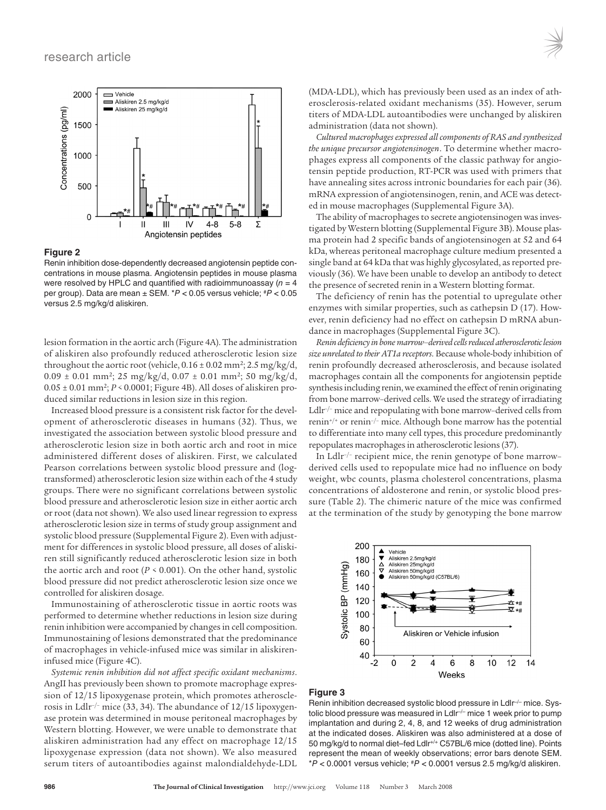

#### **Figure 2**

Renin inhibition dose-dependently decreased angiotensin peptide concentrations in mouse plasma. Angiotensin peptides in mouse plasma were resolved by HPLC and quantified with radioimmunoassay  $(n = 4)$ per group). Data are mean  $\pm$  SEM.  $*P < 0.05$  versus vehicle;  $*P < 0.05$ versus 2.5 mg/kg/d aliskiren.

lesion formation in the aortic arch (Figure 4A). The administration of aliskiren also profoundly reduced atherosclerotic lesion size throughout the aortic root (vehicle,  $0.16 \pm 0.02$  mm<sup>2</sup>; 2.5 mg/kg/d,  $0.09 \pm 0.01$  mm<sup>2</sup>; 25 mg/kg/d,  $0.07 \pm 0.01$  mm<sup>2</sup>; 50 mg/kg/d, 0.05 ± 0.01 mm2; *P <* 0.0001; Figure 4B). All doses of aliskiren produced similar reductions in lesion size in this region.

Increased blood pressure is a consistent risk factor for the development of atherosclerotic diseases in humans (32). Thus, we investigated the association between systolic blood pressure and atherosclerotic lesion size in both aortic arch and root in mice administered different doses of aliskiren. First, we calculated Pearson correlations between systolic blood pressure and (logtransformed) atherosclerotic lesion size within each of the 4 study groups. There were no significant correlations between systolic blood pressure and atherosclerotic lesion size in either aortic arch or root (data not shown). We also used linear regression to express atherosclerotic lesion size in terms of study group assignment and systolic blood pressure (Supplemental Figure 2). Even with adjustment for differences in systolic blood pressure, all doses of aliskiren still significantly reduced atherosclerotic lesion size in both the aortic arch and root ( $P \le 0.001$ ). On the other hand, systolic blood pressure did not predict atherosclerotic lesion size once we controlled for aliskiren dosage.

Immunostaining of atherosclerotic tissue in aortic roots was performed to determine whether reductions in lesion size during renin inhibition were accompanied by changes in cell composition. Immunostaining of lesions demonstrated that the predominance of macrophages in vehicle-infused mice was similar in aliskireninfused mice (Figure 4C).

*Systemic renin inhibition did not affect specific oxidant mechanisms*. AngII has previously been shown to promote macrophage expression of 12/15 lipoxygenase protein, which promotes atherosclerosis in Ldlr–/– mice (33, 34). The abundance of 12/15 lipoxygenase protein was determined in mouse peritoneal macrophages by Western blotting. However, we were unable to demonstrate that aliskiren administration had any effect on macrophage 12/15 lipoxygenase expression (data not shown). We also measured serum titers of autoantibodies against malondialdehyde-LDL (MDA-LDL), which has previously been used as an index of atherosclerosis-related oxidant mechanisms (35). However, serum titers of MDA-LDL autoantibodies were unchanged by aliskiren administration (data not shown).

*Cultured macrophages expressed all components of RAS and synthesized the unique precursor angiotensinogen*. To determine whether macrophages express all components of the classic pathway for angiotensin peptide production, RT-PCR was used with primers that have annealing sites across intronic boundaries for each pair (36). mRNA expression of angiotensinogen, renin, and ACE was detected in mouse macrophages (Supplemental Figure 3A).

The ability of macrophages to secrete angiotensinogen was investigated by Western blotting (Supplemental Figure 3B). Mouse plasma protein had 2 specific bands of angiotensinogen at 52 and 64 kDa, whereas peritoneal macrophage culture medium presented a single band at 64 kDa that was highly glycosylated, as reported previously (36). We have been unable to develop an antibody to detect the presence of secreted renin in a Western blotting format.

The deficiency of renin has the potential to upregulate other enzymes with similar properties, such as cathepsin D (17). However, renin deficiency had no effect on cathepsin D mRNA abundance in macrophages (Supplemental Figure 3C).

*Renin deficiency in bone marrow–derived cells reduced atherosclerotic lesion size unrelated to their AT1a receptors*. Because whole-body inhibition of renin profoundly decreased atherosclerosis, and because isolated macrophages contain all the components for angiotensin peptide synthesis including renin, we examined the effect of renin originating from bone marrow–derived cells. We used the strategy of irradiating Ldlr–/– mice and repopulating with bone marrow–derived cells from renin<sup>+/+</sup> or renin<sup>-/-</sup> mice. Although bone marrow has the potential to differentiate into many cell types, this procedure predominantly repopulates macrophages in atherosclerotic lesions (37).

In Ldlr–/– recipient mice, the renin genotype of bone marrow– derived cells used to repopulate mice had no influence on body weight, wbc counts, plasma cholesterol concentrations, plasma concentrations of aldosterone and renin, or systolic blood pressure (Table 2). The chimeric nature of the mice was confirmed at the termination of the study by genotyping the bone marrow



#### **Figure 3**

Renin inhibition decreased systolic blood pressure in LdIr<sup>-/-</sup> mice. Systolic blood pressure was measured in Ldlr<sup>-/-</sup> mice 1 week prior to pump implantation and during 2, 4, 8, and 12 weeks of drug administration at the indicated doses. Aliskiren was also administered at a dose of 50 mg/kg/d to normal diet–fed Ldlr+/+ C57BL/6 mice (dotted line). Points represent the mean of weekly observations; error bars denote SEM.  $*P < 0.0001$  versus vehicle;  $*P < 0.0001$  versus 2.5 mg/kg/d aliskiren.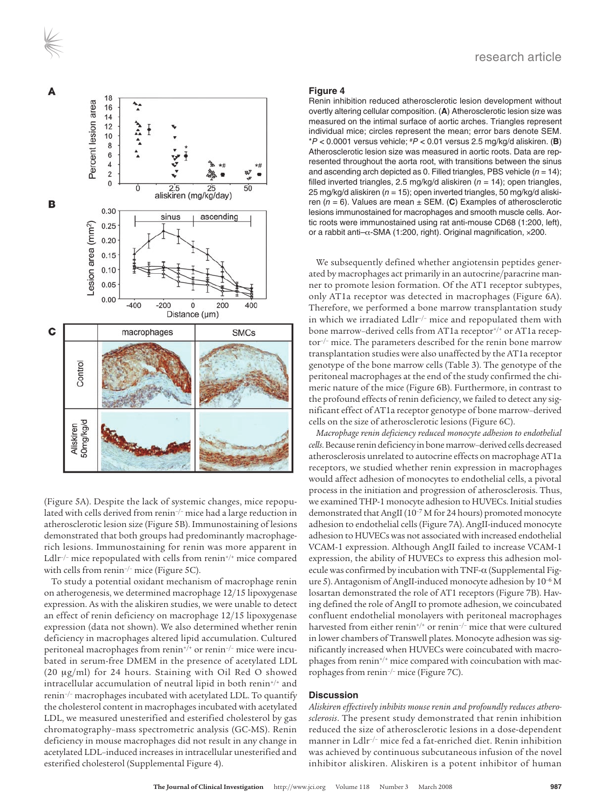

(Figure 5A). Despite the lack of systemic changes, mice repopulated with cells derived from renin<sup>-/-</sup> mice had a large reduction in atherosclerotic lesion size (Figure 5B). Immunostaining of lesions demonstrated that both groups had predominantly macrophagerich lesions. Immunostaining for renin was more apparent in Ldlr<sup>-/-</sup> mice repopulated with cells from renin<sup>+/+</sup> mice compared with cells from renin<sup>-/-</sup> mice (Figure 5C).

To study a potential oxidant mechanism of macrophage renin on atherogenesis, we determined macrophage 12/15 lipoxygenase expression. As with the aliskiren studies, we were unable to detect an effect of renin deficiency on macrophage 12/15 lipoxygenase expression (data not shown). We also determined whether renin deficiency in macrophages altered lipid accumulation. Cultured peritoneal macrophages from renin<sup>+/+</sup> or renin<sup>-/-</sup> mice were incubated in serum-free DMEM in the presence of acetylated LDL (20 μg/ml) for 24 hours. Staining with Oil Red O showed intracellular accumulation of neutral lipid in both renin<sup>+/+</sup> and renin–/– macrophages incubated with acetylated LDL. To quantify the cholesterol content in macrophages incubated with acetylated LDL, we measured unesterified and esterified cholesterol by gas chromatography–mass spectrometric analysis (GC-MS). Renin deficiency in mouse macrophages did not result in any change in acetylated LDL–induced increases in intracellular unesterified and esterified cholesterol (Supplemental Figure 4).

#### **Figure 4**

Renin inhibition reduced atherosclerotic lesion development without overtly altering cellular composition. (**A**) Atherosclerotic lesion size was measured on the intimal surface of aortic arches. Triangles represent individual mice; circles represent the mean; error bars denote SEM. \*P < 0.0001 versus vehicle; #P < 0.01 versus 2.5 mg/kg/d aliskiren. (**B**) Atherosclerotic lesion size was measured in aortic roots. Data are represented throughout the aorta root, with transitions between the sinus and ascending arch depicted as 0. Filled triangles, PBS vehicle  $(n = 14)$ ; filled inverted triangles, 2.5 mg/kg/d aliskiren ( $n = 14$ ); open triangles, 25 mg/kg/d aliskiren ( $n = 15$ ); open inverted triangles, 50 mg/kg/d aliskiren  $(n = 6)$ . Values are mean  $\pm$  SEM. (C) Examples of atherosclerotic lesions immunostained for macrophages and smooth muscle cells. Aortic roots were immunostained using rat anti-mouse CD68 (1:200, left), or a rabbit anti–α-SMA (1:200, right). Original magnification, ×200.

We subsequently defined whether angiotensin peptides generated by macrophages act primarily in an autocrine/paracrine manner to promote lesion formation. Of the AT1 receptor subtypes, only AT1a receptor was detected in macrophages (Figure 6A). Therefore, we performed a bone marrow transplantation study in which we irradiated Ldlr–/– mice and repopulated them with bone marrow-derived cells from AT1a receptor<sup>+/+</sup> or AT1a receptor–/– mice. The parameters described for the renin bone marrow transplantation studies were also unaffected by the AT1a receptor genotype of the bone marrow cells (Table 3). The genotype of the peritoneal macrophages at the end of the study confirmed the chimeric nature of the mice (Figure 6B). Furthermore, in contrast to the profound effects of renin deficiency, we failed to detect any significant effect of AT1a receptor genotype of bone marrow–derived cells on the size of atherosclerotic lesions (Figure 6C).

*Macrophage renin deficiency reduced monocyte adhesion to endothelial cells*. Because renin deficiency in bone marrow–derived cells decreased atherosclerosis unrelated to autocrine effects on macrophage AT1a receptors, we studied whether renin expression in macrophages would affect adhesion of monocytes to endothelial cells, a pivotal process in the initiation and progression of atherosclerosis. Thus, we examined THP-1 monocyte adhesion to HUVECs. Initial studies demonstrated that AngII (10<sup>-7</sup> M for 24 hours) promoted monocyte adhesion to endothelial cells (Figure 7A). AngII-induced monocyte adhesion to HUVECs was not associated with increased endothelial VCAM-1 expression. Although AngII failed to increase VCAM-1 expression, the ability of HUVECs to express this adhesion molecule was confirmed by incubation with TNF-α (Supplemental Figure 5). Antagonism of AngII-induced monocyte adhesion by 10–6 M losartan demonstrated the role of AT1 receptors (Figure 7B). Having defined the role of AngII to promote adhesion, we coincubated confluent endothelial monolayers with peritoneal macrophages harvested from either renin<sup>+/+</sup> or renin<sup>-/-</sup> mice that were cultured in lower chambers of Transwell plates. Monocyte adhesion was significantly increased when HUVECs were coincubated with macrophages from renin<sup>+/+</sup> mice compared with coincubation with macrophages from renin–/– mice (Figure 7C).

#### **Discussion**

*Aliskiren effectively inhibits mouse renin and profoundly reduces atherosclerosis*. The present study demonstrated that renin inhibition reduced the size of atherosclerotic lesions in a dose-dependent manner in Ldlr–/– mice fed a fat-enriched diet. Renin inhibition was achieved by continuous subcutaneous infusion of the novel inhibitor aliskiren. Aliskiren is a potent inhibitor of human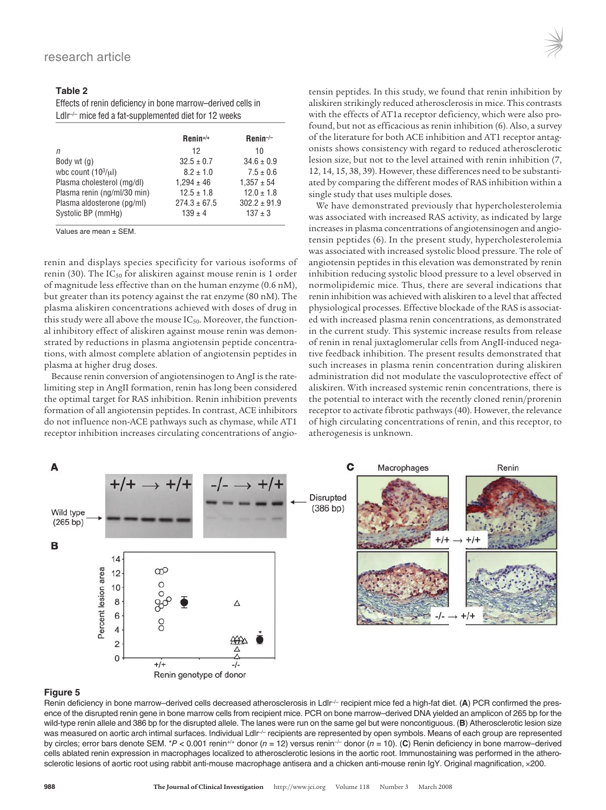#### **Table 2**

Effects of renin deficiency in bone marrow–derived cells in LdIr<sup>-/-</sup> mice fed a fat-supplemented diet for 12 weeks

|                             | $Renin^{+/+}$    | $Renin^{-/-}$    |
|-----------------------------|------------------|------------------|
| п                           | 12               | 10               |
| Body wt (g)                 | $32.5 \pm 0.7$   | $34.6 \pm 0.9$   |
| wbc count $(103/\mu l)$     | $8.2 \pm 1.0$    | $7.5 \pm 0.6$    |
| Plasma cholesterol (mg/dl)  | $1.294 \pm 46$   | $1.357 \pm 54$   |
| Plasma renin (ng/ml/30 min) | $12.5 \pm 1.8$   | $12.0 \pm 1.8$   |
| Plasma aldosterone (pg/ml)  | $274.3 \pm 67.5$ | $302.2 \pm 91.9$ |
| Systolic BP (mmHg)          | $139 \pm 4$      | $137 \pm 3$      |

Values are mean ± SEM.

renin and displays species specificity for various isoforms of renin (30). The  $IC_{50}$  for aliskiren against mouse renin is 1 order of magnitude less effective than on the human enzyme (0.6 nM), but greater than its potency against the rat enzyme (80 nM). The plasma aliskiren concentrations achieved with doses of drug in this study were all above the mouse  $IC_{50}$ . Moreover, the functional inhibitory effect of aliskiren against mouse renin was demonstrated by reductions in plasma angiotensin peptide concentrations, with almost complete ablation of angiotensin peptides in plasma at higher drug doses.

Because renin conversion of angiotensinogen to AngI is the ratelimiting step in AngII formation, renin has long been considered the optimal target for RAS inhibition. Renin inhibition prevents formation of all angiotensin peptides. In contrast, ACE inhibitors do not influence non-ACE pathways such as chymase, while AT1 receptor inhibition increases circulating concentrations of angiotensin peptides. In this study, we found that renin inhibition by aliskiren strikingly reduced atherosclerosis in mice. This contrasts with the effects of AT1a receptor deficiency, which were also profound, but not as efficacious as renin inhibition (6). Also, a survey of the literature for both ACE inhibition and AT1 receptor antagonists shows consistency with regard to reduced atherosclerotic lesion size, but not to the level attained with renin inhibition (7, 12, 14, 15, 38, 39). However, these differences need to be substantiated by comparing the different modes of RAS inhibition within a single study that uses multiple doses.

We have demonstrated previously that hypercholesterolemia was associated with increased RAS activity, as indicated by large increases in plasma concentrations of angiotensinogen and angiotensin peptides (6). In the present study, hypercholesterolemia was associated with increased systolic blood pressure. The role of angiotensin peptides in this elevation was demonstrated by renin inhibition reducing systolic blood pressure to a level observed in normolipidemic mice. Thus, there are several indications that renin inhibition was achieved with aliskiren to a level that affected physiological processes. Effective blockade of the RAS is associated with increased plasma renin concentrations, as demonstrated in the current study. This systemic increase results from release of renin in renal juxtaglomerular cells from AngII-induced negative feedback inhibition. The present results demonstrated that such increases in plasma renin concentration during aliskiren administration did not modulate the vasculoprotective effect of aliskiren. With increased systemic renin concentrations, there is the potential to interact with the recently cloned renin/prorenin receptor to activate fibrotic pathways (40). However, the relevance of high circulating concentrations of renin, and this receptor, to atherogenesis is unknown.



#### **Figure 5**

Renin deficiency in bone marrow–derived cells decreased atherosclerosis in LdIr<sup> $/-$ </sup> recipient mice fed a high-fat diet. (A) PCR confirmed the presence of the disrupted renin gene in bone marrow cells from recipient mice. PCR on bone marrow–derived DNA yielded an amplicon of 265 bp for the wild-type renin allele and 386 bp for the disrupted allele. The lanes were run on the same gel but were noncontiguous. (**B**) Atherosclerotic lesion size was measured on aortic arch intimal surfaces. Individual LdIr<sup>-/-</sup> recipients are represented by open symbols. Means of each group are represented by circles; error bars denote SEM. \*P < 0.001 renin+/+ donor ( $n = 12$ ) versus renin<sup>-/-</sup> donor ( $n = 10$ ). (C) Renin deficiency in bone marrow-derived cells ablated renin expression in macrophages localized to atherosclerotic lesions in the aortic root. Immunostaining was performed in the atherosclerotic lesions of aortic root using rabbit anti-mouse macrophage antisera and a chicken anti-mouse renin IgY. Original magnification, ×200.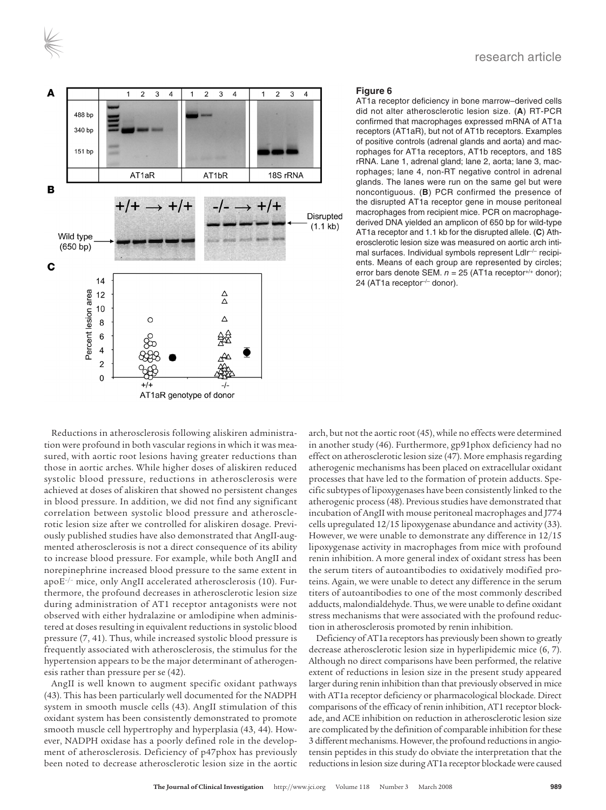



#### **Figure 6**

AT1a receptor deficiency in bone marrow–derived cells did not alter atherosclerotic lesion size. (**A**) RT-PCR confirmed that macrophages expressed mRNA of AT1a receptors (AT1aR), but not of AT1b receptors. Examples of positive controls (adrenal glands and aorta) and macrophages for AT1a receptors, AT1b receptors, and 18S rRNA. Lane 1, adrenal gland; lane 2, aorta; lane 3, macrophages; lane 4, non-RT negative control in adrenal glands. The lanes were run on the same gel but were noncontiguous. (**B**) PCR confirmed the presence of the disrupted AT1a receptor gene in mouse peritoneal macrophages from recipient mice. PCR on macrophagederived DNA yielded an amplicon of 650 bp for wild-type AT1a receptor and 1.1 kb for the disrupted allele. (**C**) Atherosclerotic lesion size was measured on aortic arch intimal surfaces. Individual symbols represent Ldlr<sup>-/-</sup> recipients. Means of each group are represented by circles; error bars denote SEM.  $n = 25$  (AT1a receptor<sup>+/+</sup> donor); 24 (AT1a receptor-/- donor).

Reductions in atherosclerosis following aliskiren administration were profound in both vascular regions in which it was measured, with aortic root lesions having greater reductions than those in aortic arches. While higher doses of aliskiren reduced systolic blood pressure, reductions in atherosclerosis were achieved at doses of aliskiren that showed no persistent changes in blood pressure. In addition, we did not find any significant correlation between systolic blood pressure and atherosclerotic lesion size after we controlled for aliskiren dosage. Previously published studies have also demonstrated that AngII-augmented atherosclerosis is not a direct consequence of its ability to increase blood pressure. For example, while both AngII and norepinephrine increased blood pressure to the same extent in apoE–/– mice, only AngII accelerated atherosclerosis (10). Furthermore, the profound decreases in atherosclerotic lesion size during administration of AT1 receptor antagonists were not observed with either hydralazine or amlodipine when administered at doses resulting in equivalent reductions in systolic blood pressure (7, 41). Thus, while increased systolic blood pressure is frequently associated with atherosclerosis, the stimulus for the hypertension appears to be the major determinant of atherogenesis rather than pressure per se (42).

AngII is well known to augment specific oxidant pathways (43). This has been particularly well documented for the NADPH system in smooth muscle cells (43). AngII stimulation of this oxidant system has been consistently demonstrated to promote smooth muscle cell hypertrophy and hyperplasia (43, 44). However, NADPH oxidase has a poorly defined role in the development of atherosclerosis. Deficiency of p47phox has previously been noted to decrease atherosclerotic lesion size in the aortic arch, but not the aortic root (45), while no effects were determined in another study (46). Furthermore, gp91phox deficiency had no effect on atherosclerotic lesion size (47). More emphasis regarding atherogenic mechanisms has been placed on extracellular oxidant processes that have led to the formation of protein adducts. Specific subtypes of lipoxygenases have been consistently linked to the atherogenic process (48). Previous studies have demonstrated that incubation of AngII with mouse peritoneal macrophages and J774 cells upregulated 12/15 lipoxygenase abundance and activity (33). However, we were unable to demonstrate any difference in 12/15 lipoxygenase activity in macrophages from mice with profound renin inhibition. A more general index of oxidant stress has been the serum titers of autoantibodies to oxidatively modified proteins. Again, we were unable to detect any difference in the serum titers of autoantibodies to one of the most commonly described adducts, malondialdehyde. Thus, we were unable to define oxidant stress mechanisms that were associated with the profound reduction in atherosclerosis promoted by renin inhibition.

Deficiency of AT1a receptors has previously been shown to greatly decrease atherosclerotic lesion size in hyperlipidemic mice (6, 7). Although no direct comparisons have been performed, the relative extent of reductions in lesion size in the present study appeared larger during renin inhibition than that previously observed in mice with AT1a receptor deficiency or pharmacological blockade. Direct comparisons of the efficacy of renin inhibition, AT1 receptor blockade, and ACE inhibition on reduction in atherosclerotic lesion size are complicated by the definition of comparable inhibition for these 3 different mechanisms. However, the profound reductions in angiotensin peptides in this study do obviate the interpretation that the reductions in lesion size during AT1a receptor blockade were caused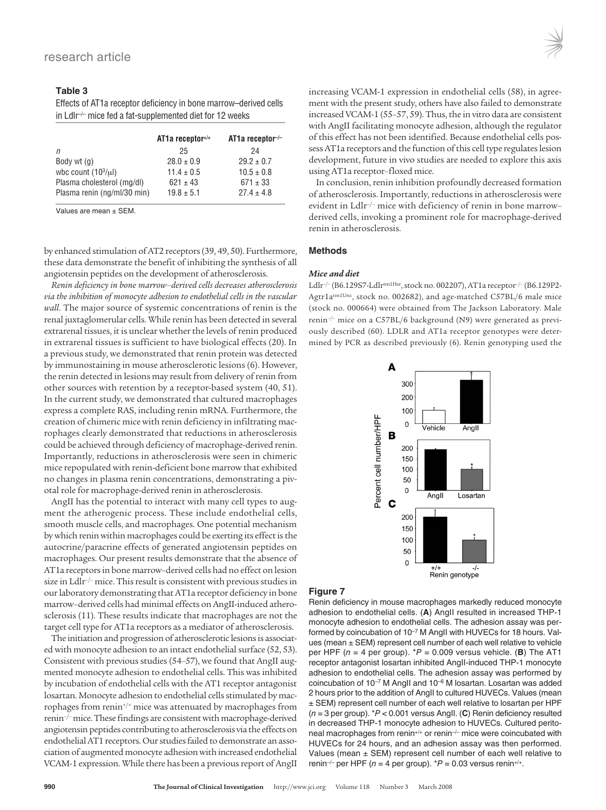#### **Table 3**

Effects of AT1a receptor deficiency in bone marrow–derived cells in Ldlr–/– mice fed a fat-supplemented diet for 12 weeks

|                             | $AT1a$ receptor+/+ | AT1a receptor- $\prime$ - |
|-----------------------------|--------------------|---------------------------|
| n                           | 25                 | 24                        |
| Body wt (g)                 | $28.0 \pm 0.9$     | $29.2 \pm 0.7$            |
| wbc count $(103/\mu l)$     | $11.4 \pm 0.5$     | $10.5 \pm 0.8$            |
| Plasma cholesterol (mg/dl)  | $621 \pm 43$       | $671 \pm 33$              |
| Plasma renin (ng/ml/30 min) | $19.8 \pm 5.1$     | $27.4 \pm 4.8$            |

Values are mean ± SEM.

by enhanced stimulation of AT2 receptors (39, 49, 50). Furthermore, these data demonstrate the benefit of inhibiting the synthesis of all angiotensin peptides on the development of atherosclerosis.

*Renin deficiency in bone marrow–derived cells decreases atherosclerosis via the inhibition of monocyte adhesion to endothelial cells in the vascular wall*. The major source of systemic concentrations of renin is the renal juxtaglomerular cells. While renin has been detected in several extrarenal tissues, it is unclear whether the levels of renin produced in extrarenal tissues is sufficient to have biological effects (20). In a previous study, we demonstrated that renin protein was detected by immunostaining in mouse atherosclerotic lesions (6). However, the renin detected in lesions may result from delivery of renin from other sources with retention by a receptor-based system (40, 51). In the current study, we demonstrated that cultured macrophages express a complete RAS, including renin mRNA. Furthermore, the creation of chimeric mice with renin deficiency in infiltrating macrophages clearly demonstrated that reductions in atherosclerosis could be achieved through deficiency of macrophage-derived renin. Importantly, reductions in atherosclerosis were seen in chimeric mice repopulated with renin-deficient bone marrow that exhibited no changes in plasma renin concentrations, demonstrating a pivotal role for macrophage-derived renin in atherosclerosis.

AngII has the potential to interact with many cell types to augment the atherogenic process. These include endothelial cells, smooth muscle cells, and macrophages. One potential mechanism by which renin within macrophages could be exerting its effect is the autocrine/paracrine effects of generated angiotensin peptides on macrophages. Our present results demonstrate that the absence of AT1a receptors in bone marrow–derived cells had no effect on lesion size in Ldlr<sup>-/-</sup> mice. This result is consistent with previous studies in our laboratory demonstrating that AT1a receptor deficiency in bone marrow–derived cells had minimal effects on AngII-induced atherosclerosis (11). These results indicate that macrophages are not the target cell type for AT1a receptors as a mediator of atherosclerosis.

The initiation and progression of atherosclerotic lesions is associated with monocyte adhesion to an intact endothelial surface (52, 53). Consistent with previous studies (54–57), we found that AngII augmented monocyte adhesion to endothelial cells. This was inhibited by incubation of endothelial cells with the AT1 receptor antagonist losartan. Monocyte adhesion to endothelial cells stimulated by macrophages from renin+/+ mice was attenuated by macrophages from renin–/– mice. These findings are consistent with macrophage-derived angiotensin peptides contributing to atherosclerosis via the effects on endothelial AT1 receptors. Our studies failed to demonstrate an association of augmented monocyte adhesion with increased endothelial VCAM-1 expression. While there has been a previous report of AngII increasing VCAM-1 expression in endothelial cells (58), in agreement with the present study, others have also failed to demonstrate increased VCAM-1 (55–57, 59). Thus, the in vitro data are consistent with AngII facilitating monocyte adhesion, although the regulator of this effect has not been identified. Because endothelial cells possess AT1a receptors and the function of this cell type regulates lesion development, future in vivo studies are needed to explore this axis using AT1a receptor–floxed mice.

In conclusion, renin inhibition profoundly decreased formation of atherosclerosis. Importantly, reductions in atherosclerosis were evident in Ldlr<sup>-/-</sup> mice with deficiency of renin in bone marrowderived cells, invoking a prominent role for macrophage-derived renin in atherosclerosis.

#### **Methods**

#### *Mice and diet*

Ldlr–/– (B6.129S7-Ldlrtm1Her, stock no. 002207), AT1a receptor–/– (B6.129P2- Agtr1atm1Unc, stock no. 002682), and age-matched C57BL/6 male mice (stock no. 000664) were obtained from The Jackson Laboratory. Male renin–/– mice on a C57BL/6 background (N9) were generated as previously described (60). LDLR and AT1a receptor genotypes were determined by PCR as described previously (6). Renin genotyping used the



#### **Figure 7**

Renin deficiency in mouse macrophages markedly reduced monocyte adhesion to endothelial cells. (**A**) AngII resulted in increased THP-1 monocyte adhesion to endothelial cells. The adhesion assay was performed by coincubation of 10<sup>-7</sup> M AngII with HUVECs for 18 hours. Values (mean ± SEM) represent cell number of each well relative to vehicle per HPF ( $n = 4$  per group).  $P = 0.009$  versus vehicle. (**B**) The AT1 receptor antagonist losartan inhibited AngII-induced THP-1 monocyte adhesion to endothelial cells. The adhesion assay was performed by coincubation of 10–7 M AngII and 10–6 M losartan. Losartan was added 2 hours prior to the addition of AngII to cultured HUVECs. Values (mean ± SEM) represent cell number of each well relative to losartan per HPF (n = 3 per group). \*P < 0.001 versus AngII. (**C**) Renin deficiency resulted in decreased THP-1 monocyte adhesion to HUVECs. Cultured peritoneal macrophages from renin<sup>+/+</sup> or renin<sup>-/-</sup> mice were coincubated with HUVECs for 24 hours, and an adhesion assay was then performed. Values (mean ± SEM) represent cell number of each well relative to renin<sup>-/-</sup> per HPF ( $n = 4$  per group). \*P = 0.03 versus renin<sup>+/+</sup>.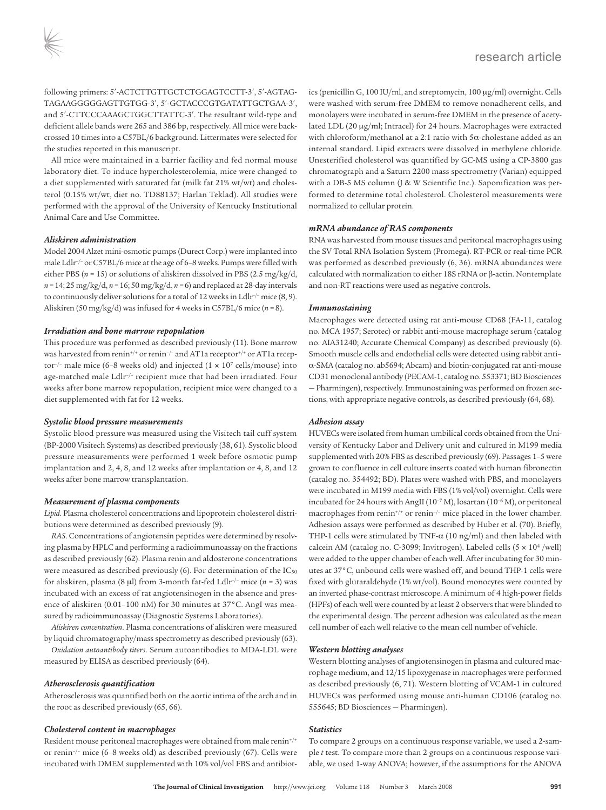following primers: 5′-ACTCTTGTTGCTCTGGAGTCCTT-3′, 5′-AGTAG-TAGAAGGGGGAGTTGTGG-3′, 5′-GCTACCCGTGATATTGCTGAA-3′, and 5′-CTTCCCAAAGCTGGCTTATTC-3′. The resultant wild-type and deficient allele bands were 265 and 386 bp, respectively. All mice were backcrossed 10 times into a C57BL/6 background. Littermates were selected for the studies reported in this manuscript.

All mice were maintained in a barrier facility and fed normal mouse laboratory diet. To induce hypercholesterolemia, mice were changed to a diet supplemented with saturated fat (milk fat 21% wt/wt) and cholesterol (0.15% wt/wt, diet no. TD88137; Harlan Teklad). All studies were performed with the approval of the University of Kentucky Institutional Animal Care and Use Committee.

#### *Aliskiren administration*

Model 2004 Alzet mini-osmotic pumps (Durect Corp.) were implanted into male Ldlr–/– or C57BL/6 mice at the age of 6–8 weeks. Pumps were filled with either PBS (*n* = 15) or solutions of aliskiren dissolved in PBS (2.5 mg/kg/d, *n =* 14; 25 mg/kg/d, *n =* 16; 50 mg/kg/d, *n =* 6) and replaced at 28-day intervals to continuously deliver solutions for a total of 12 weeks in Ldlr<sup>-/-</sup> mice (8, 9). Aliskiren (50 mg/kg/d) was infused for 4 weeks in C57BL/6 mice (*n =* 8).

#### *Irradiation and bone marrow repopulation*

This procedure was performed as described previously (11). Bone marrow was harvested from renin<sup>+/+</sup> or renin<sup>-/-</sup> and AT1a receptor<sup>+/+</sup> or AT1a receptor<sup>-/-</sup> male mice (6-8 weeks old) and injected ( $1 \times 10^7$  cells/mouse) into age-matched male Ldlr–/– recipient mice that had been irradiated. Four weeks after bone marrow repopulation, recipient mice were changed to a diet supplemented with fat for 12 weeks.

#### *Systolic blood pressure measurements*

Systolic blood pressure was measured using the Visitech tail cuff system (BP-2000 Visitech Systems) as described previously (38, 61). Systolic blood pressure measurements were performed 1 week before osmotic pump implantation and 2, 4, 8, and 12 weeks after implantation or 4, 8, and 12 weeks after bone marrow transplantation.

#### *Measurement of plasma components*

*Lipid*. Plasma cholesterol concentrations and lipoprotein cholesterol distributions were determined as described previously (9).

*RAS*. Concentrations of angiotensin peptides were determined by resolving plasma by HPLC and performing a radioimmunoassay on the fractions as described previously (62). Plasma renin and aldosterone concentrations were measured as described previously (6). For determination of the  $IC_{50}$ for aliskiren, plasma (8 μl) from 3-month fat-fed Ldlr–/– mice (*n* = 3) was incubated with an excess of rat angiotensinogen in the absence and presence of aliskiren (0.01–100 nM) for 30 minutes at 37°C. AngI was measured by radioimmunoassay (Diagnostic Systems Laboratories).

*Aliskiren concentration*. Plasma concentrations of aliskiren were measured by liquid chromatography/mass spectrometry as described previously (63).

*Oxidation autoantibody titers*. Serum autoantibodies to MDA-LDL were measured by ELISA as described previously (64).

#### *Atherosclerosis quantification*

Atherosclerosis was quantified both on the aortic intima of the arch and in the root as described previously (65, 66).

#### *Cholesterol content in macrophages*

Resident mouse peritoneal macrophages were obtained from male renin<sup>+/+</sup> or renin–/– mice (6–8 weeks old) as described previously (67). Cells were incubated with DMEM supplemented with 10% vol/vol FBS and antibiotics (penicillin G, 100 IU/ml, and streptomycin, 100 μg/ml) overnight. Cells were washed with serum-free DMEM to remove nonadherent cells, and monolayers were incubated in serum-free DMEM in the presence of acetylated LDL (20 μg/ml; Intracel) for 24 hours. Macrophages were extracted with chloroform/methanol at a 2:1 ratio with 5α-cholestane added as an internal standard. Lipid extracts were dissolved in methylene chloride. Unesterified cholesterol was quantified by GC-MS using a CP-3800 gas chromatograph and a Saturn 2200 mass spectrometry (Varian) equipped with a DB-5 MS column (J & W Scientific Inc.). Saponification was performed to determine total cholesterol. Cholesterol measurements were normalized to cellular protein.

#### *mRNA abundance of RAS components*

RNA was harvested from mouse tissues and peritoneal macrophages using the SV Total RNA Isolation System (Promega). RT-PCR or real-time PCR was performed as described previously (6, 36). mRNA abundances were calculated with normalization to either 18S rRNA or β-actin. Nontemplate and non-RT reactions were used as negative controls.

#### *Immunostaining*

Macrophages were detected using rat anti-mouse CD68 (FA-11, catalog no. MCA 1957; Serotec) or rabbit anti-mouse macrophage serum (catalog no. AIA31240; Accurate Chemical Company) as described previously (6). Smooth muscle cells and endothelial cells were detected using rabbit anti– α-SMA (catalog no. ab5694; Abcam) and biotin-conjugated rat anti-mouse CD31 monoclonal antibody (PECAM-1, catalog no. 553371; BD Biosciences — Pharmingen), respectively. Immunostaining was performed on frozen sections, with appropriate negative controls, as described previously (64, 68).

#### *Adhesion assay*

HUVECs were isolated from human umbilical cords obtained from the University of Kentucky Labor and Delivery unit and cultured in M199 media supplemented with 20% FBS as described previously (69). Passages 1–5 were grown to confluence in cell culture inserts coated with human fibronectin (catalog no. 354492; BD). Plates were washed with PBS, and monolayers were incubated in M199 media with FBS (1% vol/vol) overnight. Cells were incubated for 24 hours with AngII ( $10^{-7}$  M), losartan ( $10^{-6}$  M), or peritoneal macrophages from renin<sup>+/+</sup> or renin<sup>-/-</sup> mice placed in the lower chamber. Adhesion assays were performed as described by Huber et al. (70). Briefly, THP-1 cells were stimulated by TNF- $\alpha$  (10 ng/ml) and then labeled with calcein AM (catalog no. C-3099; Invitrogen). Labeled cells  $(5 \times 10^4$ /well) were added to the upper chamber of each well. After incubating for 30 minutes at 37°C, unbound cells were washed off, and bound THP-1 cells were fixed with glutaraldehyde (1% wt/vol). Bound monocytes were counted by an inverted phase-contrast microscope. A minimum of 4 high-power fields (HPFs) of each well were counted by at least 2 observers that were blinded to the experimental design. The percent adhesion was calculated as the mean cell number of each well relative to the mean cell number of vehicle.

#### *Western blotting analyses*

Western blotting analyses of angiotensinogen in plasma and cultured macrophage medium, and 12/15 lipoxygenase in macrophages were performed as described previously (6, 71). Western blotting of VCAM-1 in cultured HUVECs was performed using mouse anti-human CD106 (catalog no. 555645; BD Biosciences — Pharmingen).

#### *Statistics*

To compare 2 groups on a continuous response variable, we used a 2-sample *t* test. To compare more than 2 groups on a continuous response variable, we used 1-way ANOVA; however, if the assumptions for the ANOVA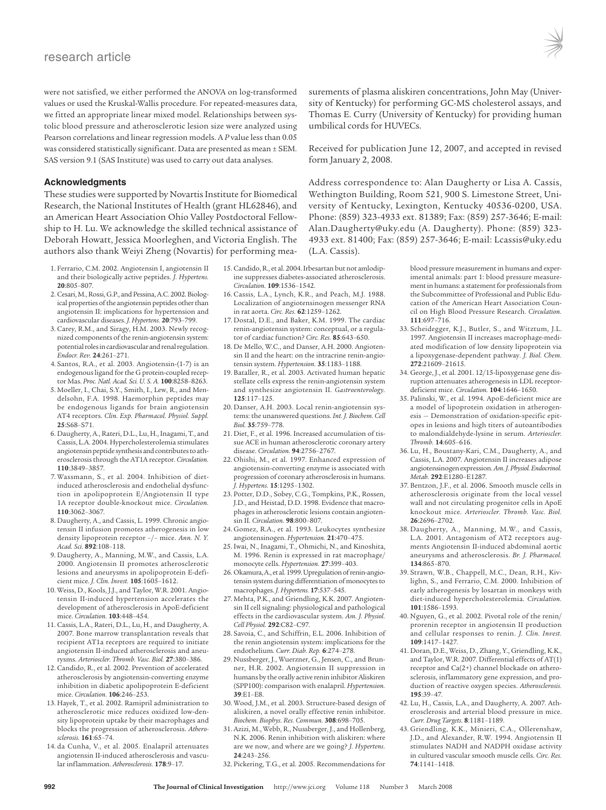were not satisfied, we either performed the ANOVA on log-transformed values or used the Kruskal-Wallis procedure. For repeated-measures data, we fitted an appropriate linear mixed model. Relationships between systolic blood pressure and atherosclerotic lesion size were analyzed using Pearson correlations and linear regression models. A *P* value less than 0.05 was considered statistically significant. Data are presented as mean ± SEM. SAS version 9.1 (SAS Institute) was used to carry out data analyses.

#### **Acknowledgments**

These studies were supported by Novartis Institute for Biomedical Research, the National Institutes of Health (grant HL62846), and an American Heart Association Ohio Valley Postdoctoral Fellowship to H. Lu. We acknowledge the skilled technical assistance of Deborah Howatt, Jessica Moorleghen, and Victoria English. The authors also thank Weiyi Zheng (Novartis) for performing mea-

- 1. Ferrario, C.M. 2002. Angiotensin I, angiotensin II and their biologically active peptides. *J. Hypertens.* **20**:805–807.
- 2. Cesari, M., Rossi, G.P., and Pessina, A.C. 2002. Biological properties of the angiotensin peptides other than angiotensin II: implications for hypertension and cardiovascular diseases. *J. Hypertens.* **20**:793–799.
- 3. Carey, R.M., and Siragy, H.M. 2003. Newly recognized components of the renin-angiotensin system: potential roles in cardiovascular and renal regulation. *Endocr. Rev.* **24**:261–271.
- 4. Santos, R.A., et al. 2003. Angiotensin-(1-7) is an endogenous ligand for the G protein-coupled receptor Mas. *Proc. Natl. Acad. Sci. U. S. A.* **100**:8258–8263.
- 5. Moeller, I., Chai, S.Y., Smith, I., Lew, R., and Mendelsohn, F.A. 1998. Haemorphin peptides may be endogenous ligands for brain angiotensin AT4 receptors. *Clin. Exp. Pharmacol. Physiol. Suppl.* **25**:S68–S71.
- 6. Daugherty, A., Rateri, D.L., Lu, H., Inagami, T., and Cassis, L.A. 2004. Hypercholesterolemia stimulates angiotensin peptide synthesis and contributes to atherosclerosis through the AT1A receptor. *Circulation.* **110**:3849–3857.
- 7. Wassmann, S., et al. 2004. Inhibition of dietinduced atherosclerosis and endothelial dysfunction in apolipoprotein E/Angiotensin II type 1A receptor double-knockout mice. *Circulation.* **110**:3062–3067.
- 8. Daugherty, A., and Cassis, L. 1999. Chronic angiotensin II infusion promotes atherogenesis in low density lipoprotein receptor –/– mice. *Ann. N. Y. Acad. Sci.* **892**:108–118.
- 9. Daugherty, A., Manning, M.W., and Cassis, L.A. 2000. Angiotensin II promotes atherosclerotic lesions and aneurysms in apolipoprotein E-deficient mice. *J. Clin. Invest.* **105**:1605–1612.
- 10. Weiss, D., Kools, J.J., and Taylor, W.R. 2001. Angiotensin II-induced hypertension accelerates the development of atherosclerosis in ApoE-deficient mice. *Circulation.* **103**:448–454.
- 11. Cassis, L.A., Rateri, D.L., Lu, H., and Daugherty, A. 2007. Bone marrow transplantation reveals that recipient AT1a receptors are required to initiate angiotensin II-induced atherosclerosis and aneurysms. *Arterioscler. Thromb. Vasc. Biol.* **27**:380–386.
- 12. Candido, R., et al. 2002. Prevention of accelerated atherosclerosis by angiotensin-converting enzyme inhibition in diabetic apolipoprotein E-deficient mice. *Circulation.* **106**:246–253.
- 13. Hayek, T., et al. 2002. Ramipril administration to atherosclerotic mice reduces oxidized low-density lipoprotein uptake by their macrophages and blocks the progression of atherosclerosis. *Atherosclerosis.* **161**:65–74.
- 14. da Cunha, V., et al. 2005. Enalapril attenuates angiotensin II-induced atherosclerosis and vascular inflammation. *Atherosclerosis.* **178**:9–17.

surements of plasma aliskiren concentrations, John May (University of Kentucky) for performing GC-MS cholesterol assays, and Thomas E. Curry (University of Kentucky) for providing human umbilical cords for HUVECs.

Received for publication June 12, 2007, and accepted in revised form January 2, 2008.

Address correspondence to: Alan Daugherty or Lisa A. Cassis, Wethington Building, Room 521, 900 S. Limestone Street, University of Kentucky, Lexington, Kentucky 40536-0200, USA. Phone: (859) 323-4933 ext. 81389; Fax: (859) 257-3646; E-mail: Alan.Daugherty@uky.edu (A. Daugherty). Phone: (859) 323- 4933 ext. 81400; Fax: (859) 257-3646; E-mail: Lcassis@uky.edu (L.A. Cassis).

- 15. Candido, R., et al. 2004. Irbesartan but not amlodipine suppresses diabetes-associated atherosclerosis. *Circulation.* **109**:1536–1542.
- 16. Cassis, L.A., Lynch, K.R., and Peach, M.J. 1988. Localization of angiotensinogen messenger RNA in rat aorta. *Circ. Res.* **62**:1259–1262.
- 17. Dostal, D.E., and Baker, K.M. 1999. The cardiac renin-angiotensin system: conceptual, or a regulator of cardiac function? *Circ. Res.* **85**:643–650.
- 18. De Mello, W.C., and Danser, A.H. 2000. Angiotensin II and the heart: on the intracrine renin-angiotensin system. *Hypertension.* **35**:1183–1188.
- 19. Bataller, R., et al. 2003. Activated human hepatic stellate cells express the renin-angiotensin system and synthesize angiotensin II. *Gastroenterology.* **125**:117–125.
- 20. Danser, A.H. 2003. Local renin-angiotensin systems: the unanswered questions. *Int. J. Biochem. Cell Biol.* **35**:759–778.
- 21. Diet, F., et al. 1996. Increased accumulation of tissue ACE in human atherosclerotic coronary artery disease. *Circulation.* **94**:2756–2767.
- 22. Ohishi, M., et al. 1997. Enhanced expression of angiotensin-converting enzyme is associated with progression of coronary atherosclerosis in humans. *J. Hypertens.* **15**:1295–1302.
- 23. Potter, D.D., Sobey, C.G., Tompkins, P.K., Rossen, J.D., and Heistad, D.D. 1998. Evidence that macrophages in atherosclerotic lesions contain angiotensin II. *Circulation.* **98**:800–807.
- 24. Gomez, R.A., et al. 1993. Leukocytes synthesize angiotensinogen. *Hypertension.* **21**:470–475.
- 25. Iwai, N., Inagami, T., Ohmichi, N., and Kinoshita, M. 1996. Renin is expressed in rat macrophage/ monocyte cells. *Hypertension.* **27**:399–403.
- 26. Okamura, A., et al. 1999. Upregulation of renin-angiotensin system during differentiation of monocytes to macrophages. *J. Hypertens.* **17**:537–545.
- 27. Mehta, P.K., and Griendling, K.K. 2007. Angiotensin II cell signaling: physiological and pathological effects in the cardiovascular system. *Am. J. Physiol. Cell Physiol.* **292**:C82–C97.
- 28. Savoia, C., and Schiffrin, E.L. 2006. Inhibition of the renin angiotensin system: implications for the endothelium. *Curr. Diab. Rep.* **6**:274–278.
- 29. Nussberger, J., Wuerzner, G., Jensen, C., and Brunner, H.R. 2002. Angiotensin II suppression in humans by the orally active renin inhibitor Aliskiren (SPP100): comparison with enalapril. *Hypertension.* **39**:E1–E8.
- 30. Wood, J.M., et al. 2003. Structure-based design of aliskiren, a novel orally effective renin inhibitor. *Biochem. Biophys. Res. Commun.* **308**:698–705.
- 31. Azizi, M., Webb, R., Nussberger, J., and Hollenberg, N.K. 2006. Renin inhibition with aliskiren: where are we now, and where are we going? *J. Hypertens.* **24**:243–256.
- 32. Pickering, T.G., et al. 2005. Recommendations for

imental animals: part 1: blood pressure measurement in humans: a statement for professionals from the Subcommittee of Professional and Public Education of the American Heart Association Council on High Blood Pressure Research. *Circulation.* **111**:697–716.

blood pressure measurement in humans and exper-

- 33. Scheidegger, K.J., Butler, S., and Witztum, J.L. 1997. Angiotensin II increases macrophage-mediated modification of low density lipoprotein via a lipoxygenase-dependent pathway. *J. Biol. Chem.* **272**:21609–21615.
- 34. George, J., et al. 2001. 12/15-lipoxygenase gene disruption attenuates atherogenesis in LDL receptordeficient mice. *Circulation.* **104**:1646–1650.
- 35. Palinski, W., et al. 1994. ApoE-deficient mice are a model of lipoprotein oxidation in atherogenesis — Demonstration of oxidation-specific epitopes in lesions and high titers of autoantibodies to malondialdehyde-lysine in serum. *Arterioscler. Thromb.* **14**:605–616.
- 36. Lu, H., Boustany-Kari, C.M., Daugherty, A., and Cassis, L.A. 2007. Angiotensin II increases adipose angiotensinogen expression. *Am. J. Physiol. Endocrinol. Metab.* **292**:E1280–E1287.
- 37. Bentzon, J.F., et al. 2006. Smooth muscle cells in atherosclerosis originate from the local vessel wall and not circulating progenitor cells in ApoE knockout mice. *Arterioscler. Thromb. Vasc. Biol.* **26**:2696–2702.
- 38. Daugherty, A., Manning, M.W., and Cassis, L.A. 2001. Antagonism of AT2 receptors augments Angiotensin II-induced abdominal aortic aneurysms and atherosclerosis. *Br. J. Pharmacol.* **134**:865–870.
- 39. Strawn, W.B., Chappell, M.C., Dean, R.H., Kivlighn, S., and Ferrario, C.M. 2000. Inhibition of early atherogenesis by losartan in monkeys with diet-induced hypercholesterolemia. *Circulation.* **101**:1586–1593.
- 40. Nguyen, G., et al. 2002. Pivotal role of the renin/ prorenin receptor in angiotensin II production and cellular responses to renin. *J. Clin. Invest.* **109**:1417–1427.
- 41. Doran, D.E., Weiss, D., Zhang, Y., Griendling, K.K., and Taylor, W.R. 2007. Differential effects of AT(1) receptor and Ca(2+) channel blockade on atherosclerosis, inflammatory gene expression, and production of reactive oxygen species. *Atherosclerosis.* **195**:39–47.
- 42. Lu, H., Cassis, L.A., and Daugherty, A. 2007. Atherosclerosis and arterial blood pressure in mice. *Curr. Drug Targets.* **8**:1181–1189.
- 43. Griendling, K.K., Minieri, C.A., Ollerenshaw, J.D., and Alexander, R.W. 1994. Angiotensin II stimulates NADH and NADPH oxidase activity in cultured vascular smooth muscle cells. *Circ. Res.* **74**:1141–1418.